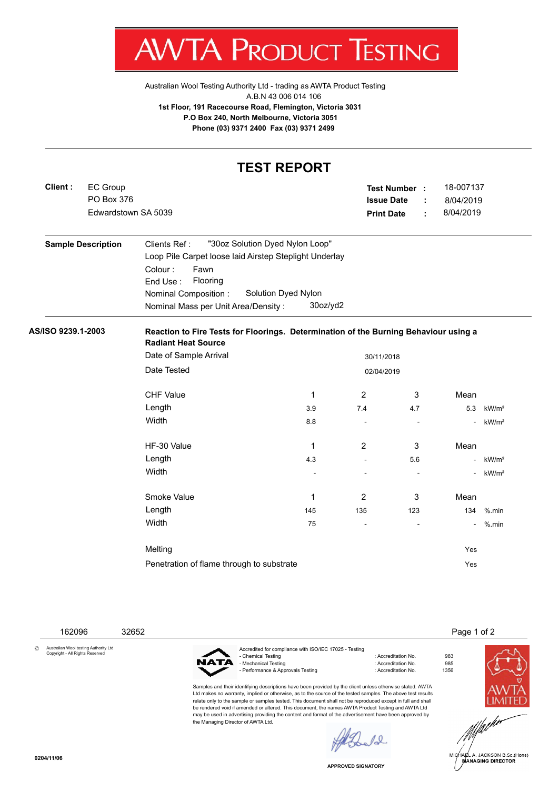AV V IA ľ 'ROI ונ К ł ESTING

[Australian Wool Testing Authority Ltd - trading as AWTA Product Testing](http://www.awtaproducttesting.com.au/) A.B.N 43 006 014 106 **1st Floor, 191 Racecourse Road, Flemington, Victoria 3031 P.O Box 240, North Melbourne, Victoria 3051 Phone (03) 9371 2400 Fax (03) 9371 2499**

|         |                           |                                                                                                           | <b>TEST REPORT</b>       |                                 |                          |                |                   |  |
|---------|---------------------------|-----------------------------------------------------------------------------------------------------------|--------------------------|---------------------------------|--------------------------|----------------|-------------------|--|
| Client: | <b>EC Group</b>           |                                                                                                           |                          | Test Number :                   |                          | 18-007137      |                   |  |
|         | PO Box 376                |                                                                                                           |                          | <b>Issue Date</b>               | ÷                        | 8/04/2019      |                   |  |
|         | Edwardstown SA 5039       |                                                                                                           |                          | <b>Print Date</b>               | ÷                        | 8/04/2019      |                   |  |
|         | <b>Sample Description</b> | "30oz Solution Dyed Nylon Loop"<br>Clients Ref:<br>Loop Pile Carpet loose laid Airstep Steplight Underlay |                          |                                 |                          |                |                   |  |
|         |                           |                                                                                                           |                          |                                 |                          |                |                   |  |
|         |                           | Colour:<br>Fawn                                                                                           |                          |                                 |                          |                |                   |  |
|         |                           | Flooring<br>End Use:                                                                                      |                          |                                 |                          |                |                   |  |
|         |                           | Nominal Composition:                                                                                      | Solution Dyed Nylon      |                                 |                          |                |                   |  |
|         |                           | Nominal Mass per Unit Area/Density:                                                                       | 30oz/yd2                 |                                 |                          |                |                   |  |
|         |                           | Date of Sample Arrival<br>Date Tested                                                                     | 30/11/2018<br>02/04/2019 |                                 |                          |                |                   |  |
|         |                           | <b>CHF Value</b>                                                                                          | $\mathbf{1}$             | $\overline{2}$                  | 3                        | Mean           |                   |  |
|         |                           | Length                                                                                                    | 3.9                      | 7.4                             | 4.7                      | 5.3            | kW/m <sup>2</sup> |  |
|         |                           | Width                                                                                                     | 8.8                      |                                 | $\sim$                   | $\overline{a}$ | kW/m <sup>2</sup> |  |
|         |                           |                                                                                                           |                          |                                 |                          |                |                   |  |
|         |                           | HF-30 Value                                                                                               | 1                        | $\overline{2}$                  | 3                        | Mean           |                   |  |
|         |                           | Length                                                                                                    | 4.3                      |                                 | 5.6                      |                | kW/m <sup>2</sup> |  |
|         |                           | Width                                                                                                     |                          |                                 | $\overline{\phantom{a}}$ |                | kW/m <sup>2</sup> |  |
|         |                           |                                                                                                           |                          |                                 |                          |                |                   |  |
|         |                           |                                                                                                           |                          |                                 |                          |                |                   |  |
|         |                           | Smoke Value                                                                                               | $\mathbf{1}$             | 2                               | 3                        | Mean           |                   |  |
|         |                           | Length                                                                                                    | 145                      | 135<br>$\overline{\phantom{a}}$ | 123<br>÷,                | 134            | $%$ .min          |  |
|         |                           | Width                                                                                                     | 75                       |                                 |                          |                | $%$ .min          |  |
|         |                           | Melting                                                                                                   |                          |                                 |                          | Yes            |                   |  |

162096 32652 Page 1 of 2

© Australian Wool testing Authority Ltd Copyright - All Rights Reserved



Accredited for compliance with ISO/IEC 17025 - Testing - Mechanical Testing in a state of the control of Accreditation No. 985<br>- Performance & Approvals Testing in the control of Accreditation No. 61356 - Performance & Approvals Testing

Samples and their identifying descriptions have been provided by the client unless otherwise stated. AWTA Ltd makes no warranty, implied or otherwise, as to the source of the tested samples. The above test results relate only to the sample or samples tested. This document shall not be reproduced except in full and shall be rendered void if amended or altered. This document, the names AWTA Product Testing and AWTA Ltd may be used in advertising providing the content and format of the advertisement have been approved by the Managing Director of AWTA Ltd.

: Accreditation No. 983<br>: Accreditation No. 985





.<br>IA∉L A. JACKSON B.Sc.(Hons)<br>MANAGING DIRECTOR

**APPROVED SIGNATORY**

 $12$